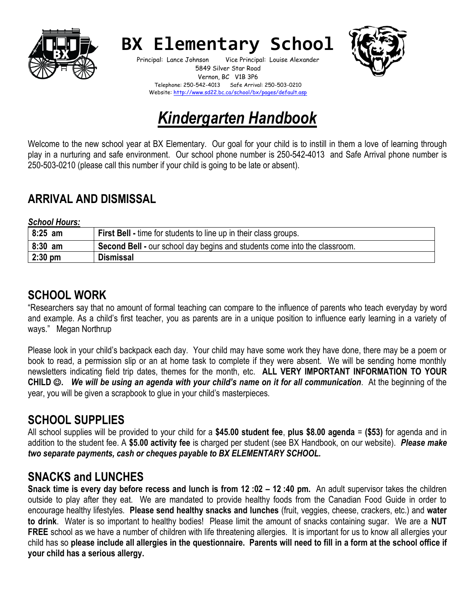

# **BX Elementary School**

Principal: Lance Johnson Vice Principal: Louise Alexander 5849 Silver Star Road Vernon, BC V1B 3P6 Telephone: 250-542-4013 Safe Arrival: 250-503-0210 Website:<http://www.sd22.bc.ca/school/bx/pages/default.asp>



# *Kindergarten Handbook*

Welcome to the new school year at BX Elementary. Our goal for your child is to instill in them a love of learning through play in a nurturing and safe environment. Our school phone number is 250-542-4013 and Safe Arrival phone number is 250-503-0210 (please call this number if your child is going to be late or absent).

#### **ARRIVAL AND DISMISSAL**

*School Hours:* 

| $8:25$ am | <b>First Bell - time for students to line up in their class groups.</b>   |
|-----------|---------------------------------------------------------------------------|
| $8:30$ am | Second Bell - our school day begins and students come into the classroom. |
| $2:30$ pm | <b>Dismissal</b>                                                          |

#### **SCHOOL WORK**

"Researchers say that no amount of formal teaching can compare to the influence of parents who teach everyday by word and example. As a child's first teacher, you as parents are in a unique position to influence early learning in a variety of ways." Megan Northrup

Please look in your child's backpack each day. Your child may have some work they have done, there may be a poem or book to read, a permission slip or an at home task to complete if they were absent. We will be sending home monthly newsletters indicating field trip dates, themes for the month, etc. **ALL VERY IMPORTANT INFORMATION TO YOUR CHILD** ☺**.** *We will be using an agenda with your child's name on it for all communication*. At the beginning of the year, you will be given a scrapbook to glue in your child's masterpieces.

# **SCHOOL SUPPLIES**

All school supplies will be provided to your child for a **\$45.00 student fee**, **plus \$8.00 agenda** = **(\$53)** for agenda and in addition to the student fee. A **\$5.00 activity fee** is charged per student (see BX Handbook, on our website). *Please make two separate payments, cash or cheques payable to BX ELEMENTARY SCHOOL.*

# **SNACKS and LUNCHES**

**Snack time is every day before recess and lunch is from 12 :02 – 12 :40 pm.** An adult supervisor takes the children outside to play after they eat. We are mandated to provide healthy foods from the Canadian Food Guide in order to encourage healthy lifestyles. **Please send healthy snacks and lunches** (fruit, veggies, cheese, crackers, etc.) and **water to drink**. Water is so important to healthy bodies! Please limit the amount of snacks containing sugar. We are a **NUT FREE** school as we have a number of children with life threatening allergies. It is important for us to know all allergies your child has so **please include all allergies in the questionnaire. Parents will need to fill in a form at the school office if your child has a serious allergy.**